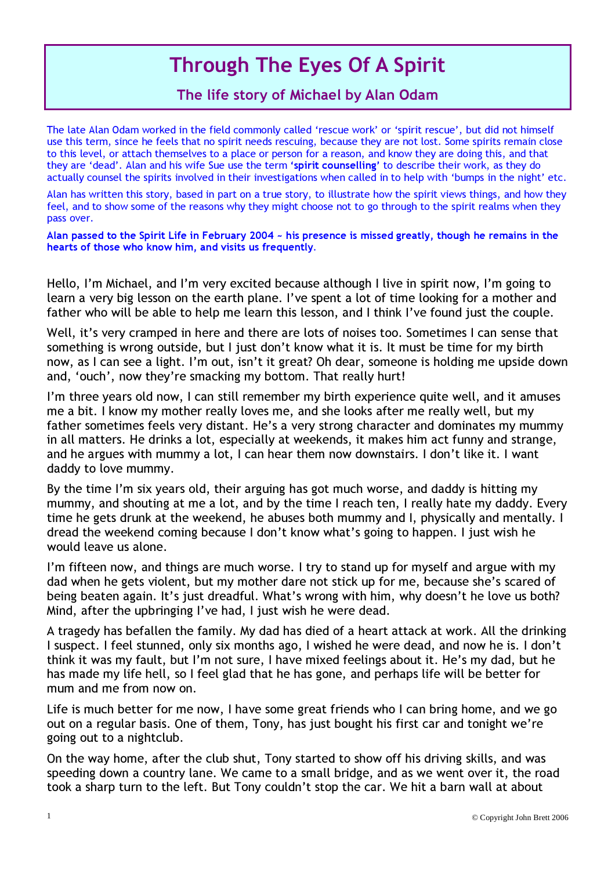## Through The Eyes Of A Spirit

## The life story of Michael by Alan Odam

The late Alan Odam worked in the field commonly called 'rescue work' or 'spirit rescue', but did not himself use this term, since he feels that no spirit needs rescuing, because they are not lost. Some spirits remain close to this level, or attach themselves to a place or person for a reason, and know they are doing this, and that they are 'dead'. Alan and his wife Sue use the term 'spirit counselling' to describe their work, as they do actually counsel the spirits involved in their investigations when called in to help with 'bumps in the night' etc.

Alan has written this story, based in part on a true story, to illustrate how the spirit views things, and how they feel, and to show some of the reasons why they might choose not to go through to the spirit realms when they pass over.

Alan passed to the Spirit Life in February 2004 ~ his presence is missed greatly, though he remains in the hearts of those who know him, and visits us frequently.

Hello, I'm Michael, and I'm very excited because although I live in spirit now, I'm going to learn a very big lesson on the earth plane. I've spent a lot of time looking for a mother and father who will be able to help me learn this lesson, and I think I've found just the couple.

Well, it's very cramped in here and there are lots of noises too. Sometimes I can sense that something is wrong outside, but I just don't know what it is. It must be time for my birth now, as I can see a light. I'm out, isn't it great? Oh dear, someone is holding me upside down and, 'ouch', now they're smacking my bottom. That really hurt!

I'm three years old now, I can still remember my birth experience quite well, and it amuses me a bit. I know my mother really loves me, and she looks after me really well, but my father sometimes feels very distant. He's a very strong character and dominates my mummy in all matters. He drinks a lot, especially at weekends, it makes him act funny and strange, and he argues with mummy a lot, I can hear them now downstairs. I don't like it. I want daddy to love mummy.

By the time I'm six years old, their arguing has got much worse, and daddy is hitting my mummy, and shouting at me a lot, and by the time I reach ten, I really hate my daddy. Every time he gets drunk at the weekend, he abuses both mummy and I, physically and mentally. I dread the weekend coming because I don't know what's going to happen. I just wish he would leave us alone.

I'm fifteen now, and things are much worse. I try to stand up for myself and argue with my dad when he gets violent, but my mother dare not stick up for me, because she's scared of being beaten again. It's just dreadful. What's wrong with him, why doesn't he love us both? Mind, after the upbringing I've had, I just wish he were dead.

A tragedy has befallen the family. My dad has died of a heart attack at work. All the drinking I suspect. I feel stunned, only six months ago, I wished he were dead, and now he is. I don't think it was my fault, but I'm not sure, I have mixed feelings about it. He's my dad, but he has made my life hell, so I feel glad that he has gone, and perhaps life will be better for mum and me from now on.

Life is much better for me now, I have some great friends who I can bring home, and we go out on a regular basis. One of them, Tony, has just bought his first car and tonight we're going out to a nightclub.

On the way home, after the club shut, Tony started to show off his driving skills, and was speeding down a country lane. We came to a small bridge, and as we went over it, the road took a sharp turn to the left. But Tony couldn't stop the car. We hit a barn wall at about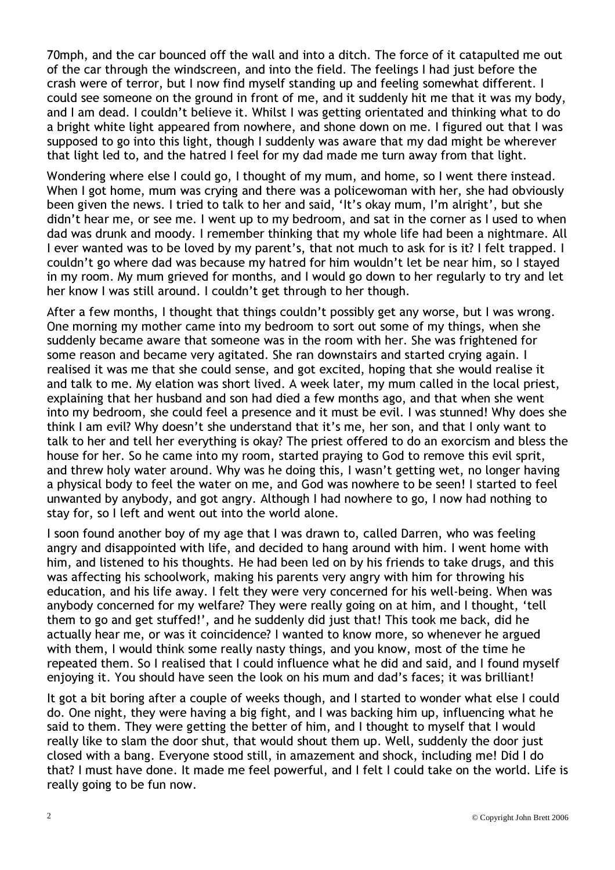70mph, and the car bounced off the wall and into a ditch. The force of it catapulted me out of the car through the windscreen, and into the field. The feelings I had just before the crash were of terror, but I now find myself standing up and feeling somewhat different. I could see someone on the ground in front of me, and it suddenly hit me that it was my body, and I am dead. I couldn't believe it. Whilst I was getting orientated and thinking what to do a bright white light appeared from nowhere, and shone down on me. I figured out that I was supposed to go into this light, though I suddenly was aware that my dad might be wherever that light led to, and the hatred I feel for my dad made me turn away from that light.

Wondering where else I could go, I thought of my mum, and home, so I went there instead. When I got home, mum was crying and there was a policewoman with her, she had obviously been given the news. I tried to talk to her and said, ' It's okay mum, I'm alright', but she didn't hear me, or see me. I went up to my bedroom, and sat in the corner as I used to when dad was drunk and moody. I remember thinking that my whole life had been a nightmare. All I ever wanted was to be loved by my parent's, that not much to ask for is it? I felt trapped. I couldn't go where dad was because my hatred for him wouldn't let be near him, so I stayed in my room. My mum grieved for months, and I would go down to her regularly to try and let her know I was still around. I couldn't get through to her though.

After a few months, I thought that things couldn't possibly get any worse, but I was wrong. One morning my mother came into my bedroom to sort out some of my things, when she suddenly became aware that someone was in the room with her. She was frightened for some reason and became very agitated. She ran downstairs and started crying again. I realised it was me that she could sense, and got excited, hoping that she would realise it and talk to me. My elation was short lived. A week later, my mum called in the local priest, explaining that her husband and son had died a few months ago, and that when she went into my bedroom, she could feel a presence and it must be evil. I was stunned! Why does she think I am evil? Why doesn't she understand that it's me, her son, and that I only want to talk to her and tell her everything is okay? The priest offered to do an exorcism and bless the house for her. So he came into my room, started praying to God to remove this evil sprit, and threw holy water around. Why was he doing this, I wasn't getting wet, no longer having a physical body to feel the water on me, and God was nowhere to be seen! I started to feel unwanted by anybody, and got angry. Although I had nowhere to go, I now had nothing to stay for, so I left and went out into the world alone.

I soon found another boy of my age that I was drawn to, called Darren, who was feeling angry and disappointed with life, and decided to hang around with him. I went home with him, and listened to his thoughts. He had been led on by his friends to take drugs, and this was affecting his schoolwork, making his parents very angry with him for throwing his education, and his life away. I felt they were very concerned for his well-being. When was anybody concerned for my welfare? They were really going on at him, and I thought, ' tell them to go and get stuffed! ', and he suddenly did just that! This took me back, did he actually hear me, or was it coincidence? I wanted to know more, so whenever he argued with them, I would think some really nasty things, and you know, most of the time he repeated them. So I realised that I could influence what he did and said, and I found myself enjoying it. You should have seen the look on his mum and dad's faces; it was brilliant!

It got a bit boring after a couple of weeks though, and I started to wonder what else I could do. One night, they were having a big fight, and I was backing him up, influencing what he said to them. They were getting the better of him, and I thought to myself that I would really like to slam the door shut, that would shout them up. Well, suddenly the door just closed with a bang. E veryone stood still, in amazement and shock, including me! Did I do that? I must have done. It made me feel powerful, and I felt I could take on the world. Life is really going to be fun now.